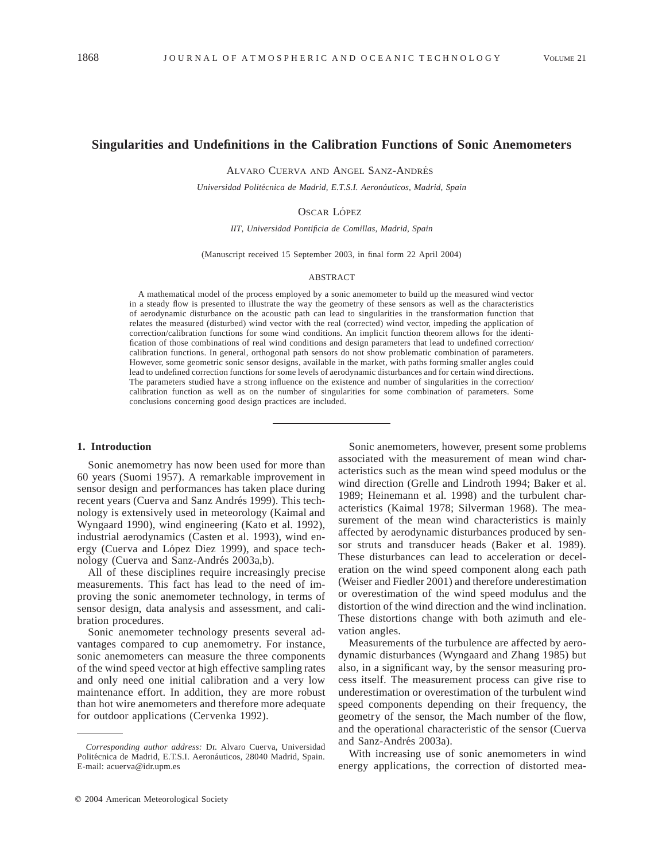# **Singularities and Undefinitions in the Calibration Functions of Sonic Anemometers**

ALVARO CUERVA AND ANGEL SANZ-ANDRÉS

*Universidad Polite´cnica de Madrid, E.T.S.I. Aerona´uticos, Madrid, Spain*

### OSCAR LÓPEZ

*IIT, Universidad Pontificia de Comillas, Madrid, Spain*

(Manuscript received 15 September 2003, in final form 22 April 2004)

#### ABSTRACT

A mathematical model of the process employed by a sonic anemometer to build up the measured wind vector in a steady flow is presented to illustrate the way the geometry of these sensors as well as the characteristics of aerodynamic disturbance on the acoustic path can lead to singularities in the transformation function that relates the measured (disturbed) wind vector with the real (corrected) wind vector, impeding the application of correction/calibration functions for some wind conditions. An implicit function theorem allows for the identification of those combinations of real wind conditions and design parameters that lead to undefined correction/ calibration functions. In general, orthogonal path sensors do not show problematic combination of parameters. However, some geometric sonic sensor designs, available in the market, with paths forming smaller angles could lead to undefined correction functions for some levels of aerodynamic disturbances and for certain wind directions. The parameters studied have a strong influence on the existence and number of singularities in the correction/ calibration function as well as on the number of singularities for some combination of parameters. Some conclusions concerning good design practices are included.

## **1. Introduction**

Sonic anemometry has now been used for more than 60 years (Suomi 1957). A remarkable improvement in sensor design and performances has taken place during recent years (Cuerva and Sanz Andrés 1999). This technology is extensively used in meteorology (Kaimal and Wyngaard 1990), wind engineering (Kato et al. 1992), industrial aerodynamics (Casten et al. 1993), wind energy (Cuerva and López Diez 1999), and space technology (Cuerva and Sanz-Andrés 2003a,b).

All of these disciplines require increasingly precise measurements. This fact has lead to the need of improving the sonic anemometer technology, in terms of sensor design, data analysis and assessment, and calibration procedures.

Sonic anemometer technology presents several advantages compared to cup anemometry. For instance, sonic anemometers can measure the three components of the wind speed vector at high effective sampling rates and only need one initial calibration and a very low maintenance effort. In addition, they are more robust than hot wire anemometers and therefore more adequate for outdoor applications (Cervenka 1992).

Sonic anemometers, however, present some problems associated with the measurement of mean wind characteristics such as the mean wind speed modulus or the wind direction (Grelle and Lindroth 1994; Baker et al. 1989; Heinemann et al. 1998) and the turbulent characteristics (Kaimal 1978; Silverman 1968). The measurement of the mean wind characteristics is mainly affected by aerodynamic disturbances produced by sensor struts and transducer heads (Baker et al. 1989). These disturbances can lead to acceleration or deceleration on the wind speed component along each path (Weiser and Fiedler 2001) and therefore underestimation or overestimation of the wind speed modulus and the distortion of the wind direction and the wind inclination. These distortions change with both azimuth and elevation angles.

Measurements of the turbulence are affected by aerodynamic disturbances (Wyngaard and Zhang 1985) but also, in a significant way, by the sensor measuring process itself. The measurement process can give rise to underestimation or overestimation of the turbulent wind speed components depending on their frequency, the geometry of the sensor, the Mach number of the flow, and the operational characteristic of the sensor (Cuerva and Sanz-Andrés 2003a).

With increasing use of sonic anemometers in wind energy applications, the correction of distorted mea-

*Corresponding author address:* Dr. Alvaro Cuerva, Universidad Politécnica de Madrid, E.T.S.I. Aeronáuticos, 28040 Madrid, Spain. E-mail: acuerva@idr.upm.es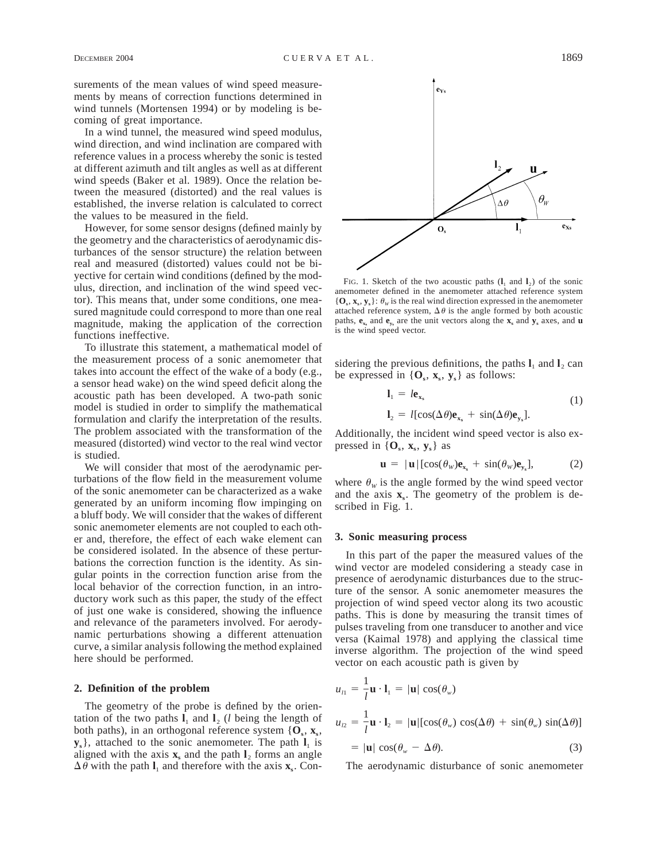surements of the mean values of wind speed measurements by means of correction functions determined in wind tunnels (Mortensen 1994) or by modeling is becoming of great importance.

In a wind tunnel, the measured wind speed modulus, wind direction, and wind inclination are compared with reference values in a process whereby the sonic is tested at different azimuth and tilt angles as well as at different wind speeds (Baker et al. 1989). Once the relation between the measured (distorted) and the real values is established, the inverse relation is calculated to correct the values to be measured in the field.

However, for some sensor designs (defined mainly by the geometry and the characteristics of aerodynamic disturbances of the sensor structure) the relation between real and measured (distorted) values could not be biyective for certain wind conditions (defined by the modulus, direction, and inclination of the wind speed vector). This means that, under some conditions, one measured magnitude could correspond to more than one real magnitude, making the application of the correction functions ineffective.

To illustrate this statement, a mathematical model of the measurement process of a sonic anemometer that takes into account the effect of the wake of a body (e.g., a sensor head wake) on the wind speed deficit along the acoustic path has been developed. A two-path sonic model is studied in order to simplify the mathematical formulation and clarify the interpretation of the results. The problem associated with the transformation of the measured (distorted) wind vector to the real wind vector is studied.

We will consider that most of the aerodynamic perturbations of the flow field in the measurement volume of the sonic anemometer can be characterized as a wake generated by an uniform incoming flow impinging on a bluff body. We will consider that the wakes of different sonic anemometer elements are not coupled to each other and, therefore, the effect of each wake element can be considered isolated. In the absence of these perturbations the correction function is the identity. As singular points in the correction function arise from the local behavior of the correction function, in an introductory work such as this paper, the study of the effect of just one wake is considered, showing the influence and relevance of the parameters involved. For aerodynamic perturbations showing a different attenuation curve, a similar analysis following the method explained here should be performed.

## **2. Definition of the problem**

The geometry of the probe is defined by the orientation of the two paths  $\mathbf{l}_1$  and  $\mathbf{l}_2$  (*l* being the length of both paths), in an orthogonal reference system  $\{O_s, x_s, \ldots\}$  $y_s$ , attached to the sonic anemometer. The path  $l_1$  is aligned with the axis  $\mathbf{x}_s$  and the path  $\mathbf{l}_2$  forms an angle  $\Delta \theta$  with the path  $\mathbf{l}_1$  and therefore with the axis  $\mathbf{x}_s$ . Con-

FIG. 1. Sketch of the two acoustic paths  $(l_1 \text{ and } l_2)$  of the sonic anemometer defined in the anemometer attached reference system  ${\bf \{O_s, x_s, y_s\}}: \theta_w$  is the real wind direction expressed in the anemometer attached reference system,  $\Delta\theta$  is the angle formed by both acoustic paths,  $e_{x_s}$  and  $e_{y_s}$  are the unit vectors along the  $x_s$  and  $y_s$  axes, and **u** is the wind speed vector.

sidering the previous definitions, the paths  $I_1$  and  $I_2$  can be expressed in  $\{O_s, x_s, y_s\}$  as follows:

$$
l_1 = l \mathbf{e}_{\mathbf{x}_s}
$$
  
\n
$$
l_2 = l[\cos(\Delta \theta) \mathbf{e}_{\mathbf{x}_s} + \sin(\Delta \theta) \mathbf{e}_{\mathbf{y}_s}].
$$
\n(1)

Additionally, the incident wind speed vector is also expressed in  $\{O_s, x_s, y_s\}$  as

$$
\mathbf{u} = |\mathbf{u}| [\cos(\theta_{w}) \mathbf{e}_{\mathbf{x}_{s}} + \sin(\theta_{w}) \mathbf{e}_{\mathbf{y}_{s}}], \quad (2)
$$

where  $\theta_w$  is the angle formed by the wind speed vector and the axis  $\mathbf{x}_s$ . The geometry of the problem is described in Fig. 1.

## **3. Sonic measuring process**

In this part of the paper the measured values of the wind vector are modeled considering a steady case in presence of aerodynamic disturbances due to the structure of the sensor. A sonic anemometer measures the projection of wind speed vector along its two acoustic paths. This is done by measuring the transit times of pulses traveling from one transducer to another and vice versa (Kaimal 1978) and applying the classical time inverse algorithm. The projection of the wind speed vector on each acoustic path is given by

$$
u_{l1} = \frac{1}{l} \mathbf{u} \cdot \mathbf{l}_1 = |\mathbf{u}| \cos(\theta_w)
$$
  

$$
u_{l2} = \frac{1}{l} \mathbf{u} \cdot \mathbf{l}_2 = |\mathbf{u}| [\cos(\theta_w) \cos(\Delta \theta) + \sin(\theta_w) \sin(\Delta \theta)]
$$
  

$$
= |\mathbf{u}| \cos(\theta_w - \Delta \theta).
$$
 (3)

The aerodynamic disturbance of sonic anemometer

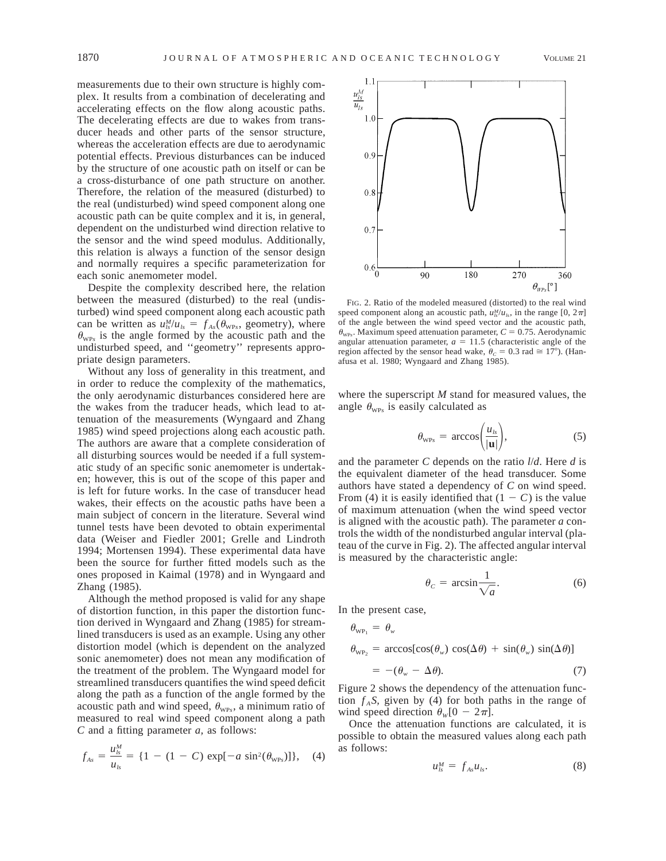measurements due to their own structure is highly complex. It results from a combination of decelerating and accelerating effects on the flow along acoustic paths. The decelerating effects are due to wakes from transducer heads and other parts of the sensor structure, whereas the acceleration effects are due to aerodynamic potential effects. Previous disturbances can be induced by the structure of one acoustic path on itself or can be a cross-disturbance of one path structure on another. Therefore, the relation of the measured (disturbed) to the real (undisturbed) wind speed component along one acoustic path can be quite complex and it is, in general, dependent on the undisturbed wind direction relative to the sensor and the wind speed modulus. Additionally, this relation is always a function of the sensor design and normally requires a specific parameterization for each sonic anemometer model.

Despite the complexity described here, the relation between the measured (disturbed) to the real (undisturbed) wind speed component along each acoustic path can be written as  $u_{ls}^M / u_{ls} = f_{As}(\theta_{WPs}, \text{ geometry})$ , where  $\theta_{WPs}$  is the angle formed by the acoustic path and the undisturbed speed, and ''geometry'' represents appropriate design parameters.

Without any loss of generality in this treatment, and in order to reduce the complexity of the mathematics, the only aerodynamic disturbances considered here are the wakes from the traducer heads, which lead to attenuation of the measurements (Wyngaard and Zhang 1985) wind speed projections along each acoustic path. The authors are aware that a complete consideration of all disturbing sources would be needed if a full systematic study of an specific sonic anemometer is undertaken; however, this is out of the scope of this paper and is left for future works. In the case of transducer head wakes, their effects on the acoustic paths have been a main subject of concern in the literature. Several wind tunnel tests have been devoted to obtain experimental data (Weiser and Fiedler 2001; Grelle and Lindroth 1994; Mortensen 1994). These experimental data have been the source for further fitted models such as the ones proposed in Kaimal (1978) and in Wyngaard and Zhang (1985).

Although the method proposed is valid for any shape of distortion function, in this paper the distortion function derived in Wyngaard and Zhang (1985) for streamlined transducers is used as an example. Using any other distortion model (which is dependent on the analyzed sonic anemometer) does not mean any modification of the treatment of the problem. The Wyngaard model for streamlined transducers quantifies the wind speed deficit along the path as a function of the angle formed by the acoustic path and wind speed,  $\theta_{WPs}$ , a minimum ratio of measured to real wind speed component along a path *C* and a fitting parameter *a,* as follows:

$$
f_{As} = \frac{u_{Is}^M}{u_{Is}} = \{1 - (1 - C) \exp[-a \sin^2(\theta_{WPs})]\}, \quad (4)
$$



FIG. 2. Ratio of the modeled measured (distorted) to the real wind speed component along an acoustic path,  $u_n^M/u_{1s}$ , in the range [0,  $2\pi$ ] of the angle between the wind speed vector and the acoustic path,  $\theta_{WPs}$ . Maximum speed attenuation parameter,  $C = 0.75$ . Aerodynamic angular attenuation parameter,  $a = 11.5$  (characteristic angle of the region affected by the sensor head wake,  $\theta_c = 0.3$  rad  $\approx 17^{\circ}$ ). (Hanafusa et al. 1980; Wyngaard and Zhang 1985).

where the superscript *M* stand for measured values, the angle  $\theta_{WPs}$  is easily calculated as

$$
\theta_{\text{WPs}} = \arccos\left(\frac{u_{ls}}{|\mathbf{u}|}\right),\tag{5}
$$

and the parameter *C* depends on the ratio *l*/*d*. Here *d* is the equivalent diameter of the head transducer. Some authors have stated a dependency of *C* on wind speed. From (4) it is easily identified that  $(1 - C)$  is the value of maximum attenuation (when the wind speed vector is aligned with the acoustic path). The parameter *a* controls the width of the nondisturbed angular interval (plateau of the curve in Fig. 2). The affected angular interval is measured by the characteristic angle:

$$
\theta_c = \arcsin \frac{1}{\sqrt{a}}.\tag{6}
$$

In the present case,

$$
\theta_{\text{WP}_1} = \theta_{\text{w}}
$$
  
\n
$$
\theta_{\text{WP}_2} = \arccos[\cos(\theta_{\text{w}}) \cos(\Delta \theta) + \sin(\theta_{\text{w}}) \sin(\Delta \theta)]
$$
  
\n
$$
= -(\theta_{\text{w}} - \Delta \theta). \tag{7}
$$

Figure 2 shows the dependency of the attenuation function  $f_A S$ , given by (4) for both paths in the range of wind speed direction  $\theta_w[0 - 2\pi]$ .

Once the attenuation functions are calculated, it is possible to obtain the measured values along each path as follows:

$$
u_{ls}^M = f_{As} u_{ls}. \tag{8}
$$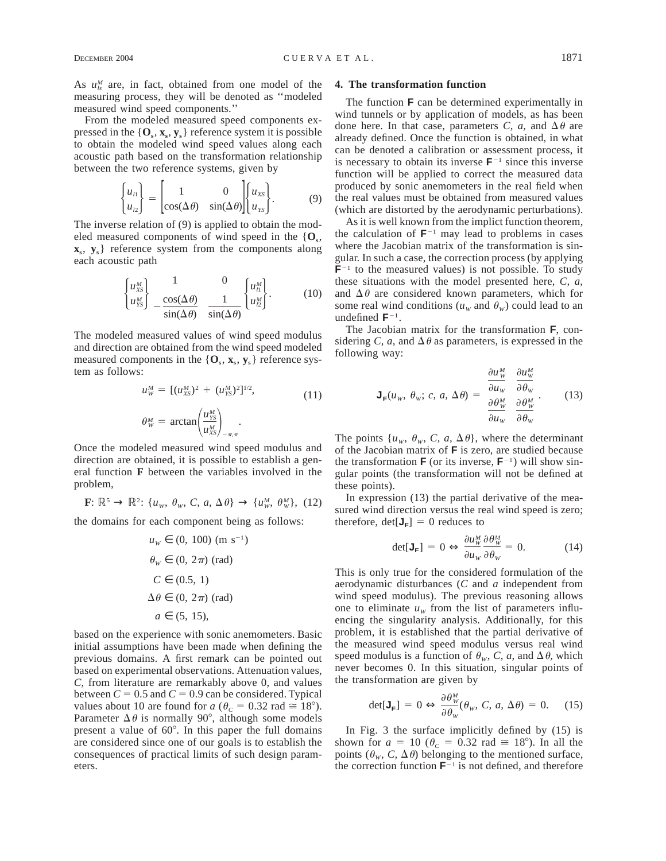As  $u_k^M$  are, in fact, obtained from one model of the measuring process, they will be denoted as ''modeled measured wind speed components.''

From the modeled measured speed components expressed in the  ${\bf \{O}_s, x_s, y_s\}$  reference system it is possible to obtain the modeled wind speed values along each acoustic path based on the transformation relationship between the two reference systems, given by

$$
\begin{Bmatrix} u_{11} \\ u_{22} \end{Bmatrix} = \begin{bmatrix} 1 & 0 \\ \cos(\Delta \theta) & \sin(\Delta \theta) \end{bmatrix} \begin{Bmatrix} u_{XS} \\ u_{YS} \end{Bmatrix}.
$$
 (9)

The inverse relation of (9) is applied to obtain the modeled measured components of wind speed in the  $\{O_s,$ **xs**, **ys**} reference system from the components along each acoustic path

$$
\begin{Bmatrix} u_{XS}^M \\ u_{YS}^M \end{Bmatrix} - \frac{\cos(\Delta \theta)}{\sin(\Delta \theta)} \frac{1}{\sin(\Delta \theta)} \begin{Bmatrix} u_1^M \\ u_2^M \end{Bmatrix}.
$$
 (10)

The modeled measured values of wind speed modulus and direction are obtained from the wind speed modeled measured components in the  $\{O_s, x_s, y_s\}$  reference system as follows:

$$
u_w^M = \left[ (u_{xs}^M)^2 + (u_{rs}^M)^2 \right]^{1/2},
$$
  
\n
$$
\theta_w^M = \arctan\left( \frac{u_{rs}^M}{u_{xs}^M} \right)_{-\pi,\pi}.
$$
\n(11)

Once the modeled measured wind speed modulus and direction are obtained, it is possible to establish a general function **F** between the variables involved in the problem,

**F**:  $\mathbb{R}^5 \to \mathbb{R}^2$ :  $\{u_w, \theta_w, C, a, \Delta \theta\} \to \{u_w^M, \theta_w^M\}$ , (12)

the domains for each component being as follows:

$$
u_w \in (0, 100) \text{ (m s}^{-1})
$$
  
\n
$$
\theta_w \in (0, 2\pi) \text{ (rad)}
$$
  
\n
$$
C \in (0.5, 1)
$$
  
\n
$$
\Delta \theta \in (0, 2\pi) \text{ (rad)}
$$
  
\n
$$
a \in (5, 15)
$$

based on the experience with sonic anemometers. Basic initial assumptions have been made when defining the previous domains. A first remark can be pointed out based on experimental observations. Attenuation values, *C,* from literature are remarkably above 0, and values between  $C = 0.5$  and  $C = 0.9$  can be considered. Typical values about 10 are found for  $a$  ( $\theta_c = 0.32$  rad  $\approx 18^{\circ}$ ). Parameter  $\Delta \theta$  is normally 90°, although some models present a value of  $60^\circ$ . In this paper the full domains are considered since one of our goals is to establish the consequences of practical limits of such design parameters.

### **4. The transformation function**

The function **F** can be determined experimentally in wind tunnels or by application of models, as has been done here. In that case, parameters *C*, *a*, and  $\Delta\theta$  are already defined. Once the function is obtained, in what can be denoted a calibration or assessment process, it is necessary to obtain its inverse  $F^{-1}$  since this inverse function will be applied to correct the measured data produced by sonic anemometers in the real field when the real values must be obtained from measured values (which are distorted by the aerodynamic perturbations).

As it is well known from the implict function theorem, the calculation of  $F^{-1}$  may lead to problems in cases where the Jacobian matrix of the transformation is singular. In such a case, the correction process (by applying  **to the measured values) is not possible. To study** these situations with the model presented here, *C, a,* and  $\Delta\theta$  are considered known parameters, which for some real wind conditions ( $u_w$  and  $\theta_w$ ) could lead to an undefined  $\mathbf{F}^{-1}$ .

The Jacobian matrix for the transformation **F**, considering *C*, *a*, and  $\Delta \theta$  as parameters, is expressed in the following way:

$$
\mathbf{J}_{\mathbf{F}}(u_{w}, \theta_{w}; c, a, \Delta\theta) = \begin{bmatrix} \frac{\partial u_{w}^{M}}{\partial u_{w}} & \frac{\partial u_{w}^{M}}{\partial \theta_{w}} \\ \frac{\partial \theta_{w}^{M}}{\partial u_{w}} & \frac{\partial \theta_{w}^{M}}{\partial \theta_{w}} \end{bmatrix} .
$$
 (13)

The points  $\{u_w, \theta_w, C, a, \Delta\theta\}$ , where the determinant of the Jacobian matrix of **F** is zero, are studied because the transformation **F** (or its inverse,  $\mathbf{F}^{-1}$ ) will show singular points (the transformation will not be defined at these points).

In expression (13) the partial derivative of the measured wind direction versus the real wind speed is zero; therefore,  $det[\mathbf{J}_{\mathbf{F}}] = 0$  reduces to

$$
\det[\mathbf{J}_{\mathbf{F}}] = 0 \Leftrightarrow \frac{\partial u_W^M}{\partial u_W} \frac{\partial \theta_W^M}{\partial \theta_W} = 0. \tag{14}
$$

This is only true for the considered formulation of the aerodynamic disturbances (*C* and *a* independent from wind speed modulus). The previous reasoning allows one to eliminate  $u_w$  from the list of parameters influencing the singularity analysis. Additionally, for this problem, it is established that the partial derivative of the measured wind speed modulus versus real wind speed modulus is a function of  $\theta_w$ , *C*, *a*, and  $\Delta \theta$ , which never becomes 0. In this situation, singular points of the transformation are given by

$$
\det[\mathbf{J}_{\mathbf{F}}] = 0 \Leftrightarrow \frac{\partial \theta_w^M}{\partial \theta_w}(\theta_w, C, a, \Delta \theta) = 0. \tag{15}
$$

In Fig. 3 the surface implicitly defined by (15) is shown for  $a = 10$  ( $\theta_c = 0.32$  rad  $\approx 18^{\circ}$ ). In all the points  $(\theta_w, C, \Delta \theta)$  belonging to the mentioned surface, the correction function  $\mathbf{F}^{-1}$  is not defined, and therefore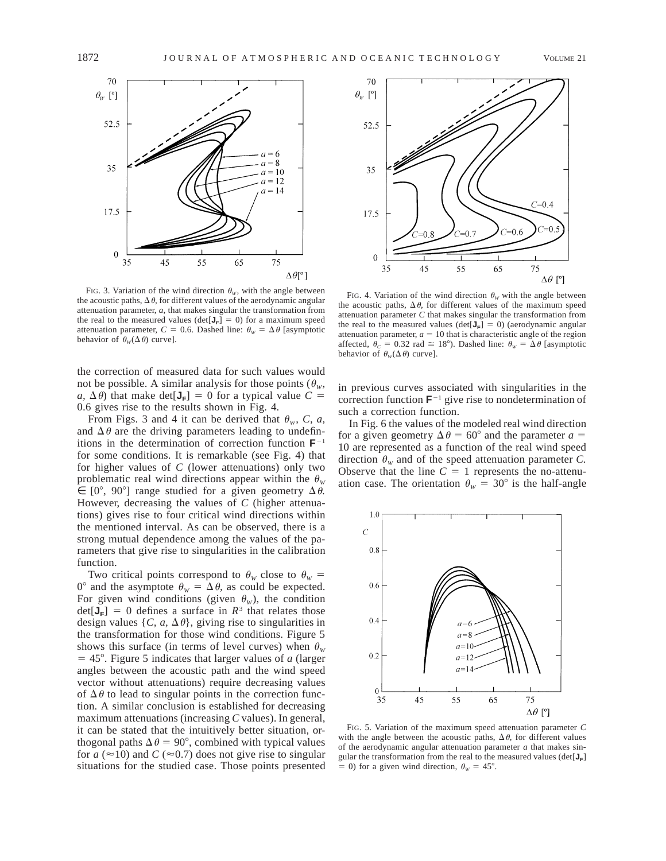

FIG. 3. Variation of the wind direction  $\theta_w$ , with the angle between the acoustic paths,  $\Delta \theta$ , for different values of the aerodynamic angular attenuation parameter, *a,* that makes singular the transformation from the real to the measured values ( $det[J_F] = 0$ ) for a maximum speed attenuation parameter,  $C = 0.6$ . Dashed line:  $\theta_w = \Delta \theta$  [asymptotic behavior of  $\theta_w(\Delta \theta)$  curve].

the correction of measured data for such values would not be possible. A similar analysis for those points ( $\theta_w$ , *a*,  $\Delta \theta$ ) that make det[ $J_F$ ] = 0 for a typical value *C* = 0.6 gives rise to the results shown in Fig. 4.

From Figs. 3 and 4 it can be derived that  $\theta_w$ , *C*, *a*, and  $\Delta\theta$  are the driving parameters leading to undefinitions in the determination of correction function  $F^{-1}$ for some conditions. It is remarkable (see Fig. 4) that for higher values of *C* (lower attenuations) only two problematic real wind directions appear within the  $\theta_w$  $\in$  [0°, 90°] range studied for a given geometry  $\Delta \theta$ . However, decreasing the values of *C* (higher attenuations) gives rise to four critical wind directions within the mentioned interval. As can be observed, there is a strong mutual dependence among the values of the parameters that give rise to singularities in the calibration function.

Two critical points correspond to  $\theta_w$  close to  $\theta_w$  = 0° and the asymptote  $\theta_w = \Delta \theta$ , as could be expected. For given wind conditions (given  $\theta_w$ ), the condition  $det[J_F] = 0$  defines a surface in  $R^3$  that relates those design values  $\{C, a, \Delta\theta\}$ , giving rise to singularities in the transformation for those wind conditions. Figure 5 shows this surface (in terms of level curves) when  $\theta_w$  $= 45^{\circ}$ . Figure 5 indicates that larger values of *a* (larger angles between the acoustic path and the wind speed vector without attenuations) require decreasing values of  $\Delta \theta$  to lead to singular points in the correction function. A similar conclusion is established for decreasing maximum attenuations (increasing *C* values). In general, it can be stated that the intuitively better situation, orthogonal paths  $\Delta \theta = 90^{\circ}$ , combined with typical values for  $a \approx 10$ ) and  $C \approx 0.7$ ) does not give rise to singular situations for the studied case. Those points presented



FIG. 4. Variation of the wind direction  $\theta_w$  with the angle between the acoustic paths,  $\Delta \theta$ , for different values of the maximum speed attenuation parameter *C* that makes singular the transformation from the real to the measured values ( $det[\mathbf{J}_F] = 0$ ) (aerodynamic angular attenuation parameter,  $a = 10$  that is characteristic angle of the region affected,  $\theta_c = 0.32$  rad  $\approx 18^\circ$ ). Dashed line:  $\theta_w = \Delta \theta$  [asymptotic behavior of  $\theta_w(\Delta \theta)$  curve].

in previous curves associated with singularities in the correction function  $F^{-1}$  give rise to nondetermination of such a correction function.

In Fig. 6 the values of the modeled real wind direction for a given geometry  $\Delta \theta = 60^{\circ}$  and the parameter  $a =$ 10 are represented as a function of the real wind speed direction  $\theta_w$  and of the speed attenuation parameter *C*. Observe that the line  $C = 1$  represents the no-attenuation case. The orientation  $\theta_w = 30^\circ$  is the half-angle



FIG. 5. Variation of the maximum speed attenuation parameter *C* with the angle between the acoustic paths,  $\Delta \theta$ , for different values of the aerodynamic angular attenuation parameter *a* that makes singular the transformation from the real to the measured values ( $det[\mathbf{J}_F]$  $= 0$ ) for a given wind direction,  $\theta_w = 45^\circ$ .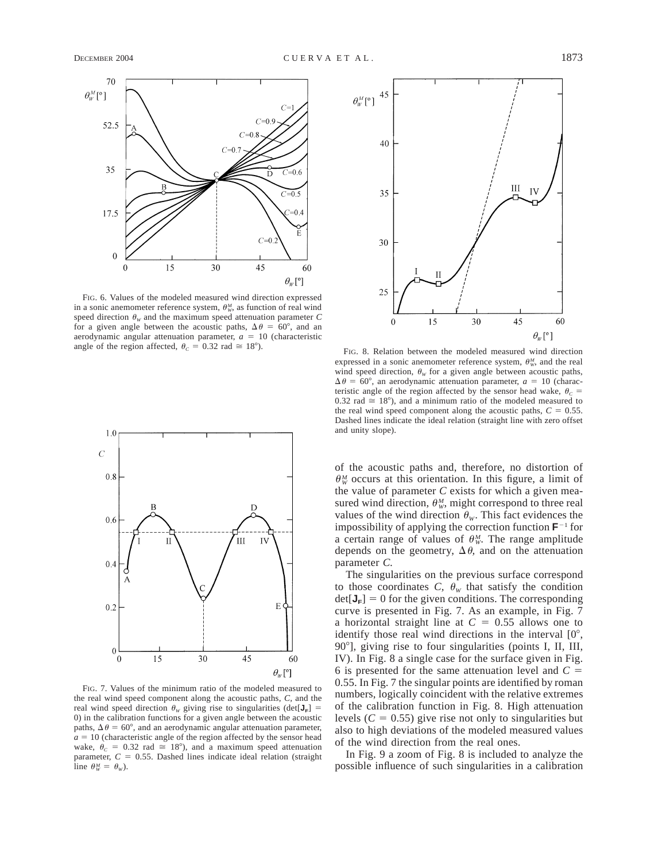

FIG. 6. Values of the modeled measured wind direction expressed in a sonic anemometer reference system,  $\theta_w^M$ , as function of real wind speed direction  $\theta_w$  and the maximum speed attenuation parameter *C* for a given angle between the acoustic paths,  $\Delta \theta = 60^{\circ}$ , and an aerodynamic angular attenuation parameter,  $a = 10$  (characteristic angle of the region affected,  $\theta_c = 0.32$  rad  $\approx 18^\circ$ ). FIG. 8. Relation between the modeled measured wind direction



FIG. 7. Values of the minimum ratio of the modeled measured to the real wind speed component along the acoustic paths, *C,* and the real wind speed direction  $\theta_w$  giving rise to singularities (det[ $J_F$ ] = 0) in the calibration functions for a given angle between the acoustic paths,  $\Delta \theta = 60^{\circ}$ , and an aerodynamic angular attenuation parameter,  $a = 10$  (characteristic angle of the region affected by the sensor head wake,  $\theta_c = 0.32$  rad  $\approx 18^{\circ}$ ), and a maximum speed attenuation parameter,  $C = 0.55$ . Dashed lines indicate ideal relation (straight line  $\theta_W^M = \theta_W$ ).



expressed in a sonic anemometer reference system,  $\theta_w^M$ , and the real wind speed direction,  $\theta_w$  for a given angle between acoustic paths,  $\Delta \theta = 60^{\circ}$ , an aerodynamic attenuation parameter,  $a = 10$  (characteristic angle of the region affected by the sensor head wake,  $\theta_c$  = 0.32 rad  $\approx$  18°), and a minimum ratio of the modeled measured to the real wind speed component along the acoustic paths,  $C = 0.55$ . Dashed lines indicate the ideal relation (straight line with zero offset and unity slope).

of the acoustic paths and, therefore, no distortion of  $\theta_{W}^{M}$  occurs at this orientation. In this figure, a limit of the value of parameter *C* exists for which a given measured wind direction,  $\theta_w^M$ , might correspond to three real values of the wind direction  $\theta_w$ . This fact evidences the impossibility of applying the correction function  $\mathbf{F}^{-1}$  for a certain range of values of  $\theta_w^M$ . The range amplitude depends on the geometry,  $\Delta \theta$ , and on the attenuation parameter *C.*

The singularities on the previous surface correspond to those coordinates *C*,  $\theta_w$  that satisfy the condition  $det[J_F] = 0$  for the given conditions. The corresponding curve is presented in Fig. 7. As an example, in Fig. 7 a horizontal straight line at  $C = 0.55$  allows one to identify those real wind directions in the interval  $[0^\circ,$ 90°], giving rise to four singularities (points I, II, III, IV). In Fig. 8 a single case for the surface given in Fig. 6 is presented for the same attenuation level and  $C =$ 0.55. In Fig. 7 the singular points are identified by roman numbers, logically coincident with the relative extremes of the calibration function in Fig. 8. High attenuation levels  $(C = 0.55)$  give rise not only to singularities but also to high deviations of the modeled measured values of the wind direction from the real ones.

In Fig. 9 a zoom of Fig. 8 is included to analyze the possible influence of such singularities in a calibration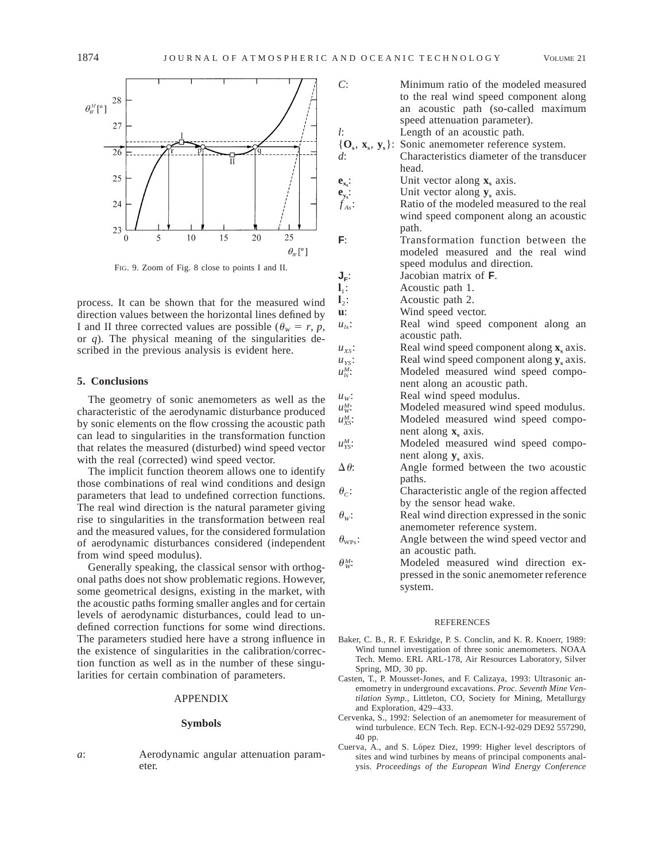

FIG. 9. Zoom of Fig. 8 close to points I and II.

process. It can be shown that for the measured wind direction values between the horizontal lines defined by I and II three corrected values are possible ( $\theta_w = r$ , *p*, or *q*). The physical meaning of the singularities described in the previous analysis is evident here.

## **5. Conclusions**

The geometry of sonic anemometers as well as the characteristic of the aerodynamic disturbance produced by sonic elements on the flow crossing the acoustic path can lead to singularities in the transformation function that relates the measured (disturbed) wind speed vector with the real (corrected) wind speed vector.

The implicit function theorem allows one to identify those combinations of real wind conditions and design parameters that lead to undefined correction functions. The real wind direction is the natural parameter giving rise to singularities in the transformation between real and the measured values, for the considered formulation of aerodynamic disturbances considered (independent from wind speed modulus).

Generally speaking, the classical sensor with orthogonal paths does not show problematic regions. However, some geometrical designs, existing in the market, with the acoustic paths forming smaller angles and for certain levels of aerodynamic disturbances, could lead to undefined correction functions for some wind directions. The parameters studied here have a strong influence in the existence of singularities in the calibration/correction function as well as in the number of these singularities for certain combination of parameters.

## APPENDIX

## **Symbols**

*a*: Aerodynamic angular attenuation parameter.

| Minimum ratio of the modeled measured                       |
|-------------------------------------------------------------|
| to the real wind speed component along                      |
| an acoustic path (so-called maximum                         |
| speed attenuation parameter).                               |
| Length of an acoustic path.                                 |
| $\{O_s, x_s, y_s\}$ :<br>Sonic anemometer reference system. |
| Characteristics diameter of the transducer                  |
| head.                                                       |
| Unit vector along $xs$ axis.                                |
| Unit vector along $y_s$ axis.                               |
| Ratio of the modeled measured to the real                   |
| wind speed component along an acoustic                      |
| path.                                                       |
| Transformation function between the                         |
|                                                             |

modeled measured and the real wind speed modulus and direction.

 $J_F$ : Jacobian matrix of **F**.

**l**1: Acoustic path 1. **l**<sub>2</sub>: Acoustic path 2.

**u**: Wind speed vector.

- $u_{ls}$ : Real wind speed component along an
- acoustic path.  $u_{xs}$ : Real wind speed component along  $\mathbf{x}_s$  axis.  $u_{ys}$ : Real wind speed component along **y**<sub>s</sub> axis.<br>Modeled measured wind speed compo-Modeled measured wind speed compo
	- nent along an acoustic path.
	-
- $u_w$ : Real wind speed modulus.<br> $u_w^M$ : Modeled measured wind s Modeled measured wind speed modulus.  $u_{xs}^M$ : Modeled measured wind speed component along **x**<sub>s</sub> axis.
- u<sup>M</sup><sub>IS</sub>: Modeled measured wind speed component along **y**<sub>s</sub> axis.
- $\Delta \theta$ : Angle formed between the two acoustic paths.
- $\theta_c$ : Characteristic angle of the region affected by the sensor head wake.
- $\theta_w$ : Real wind direction expressed in the sonic anemometer reference system.
- $\theta_{\text{wp}}$ : Angle between the wind speed vector and an acoustic path.
- $\theta_w^M$ : Modeled measured wind direction expressed in the sonic anemometer reference system.

### REFERENCES

- Baker, C. B., R. F. Eskridge, P. S. Conclin, and K. R. Knoerr, 1989: Wind tunnel investigation of three sonic anemometers. NOAA Tech. Memo. ERL ARL-178, Air Resources Laboratory, Silver Spring, MD, 30 pp.
- Casten, T., P. Mousset-Jones, and F. Calizaya, 1993: Ultrasonic anemometry in underground excavations. *Proc. Seventh Mine Ventilation Symp.,* Littleton, CO, Society for Mining, Metallurgy and Exploration, 429–433.
- Cervenka, S., 1992: Selection of an anemometer for measurement of wind turbulence. ECN Tech. Rep. ECN-I-92-029 DE92 557290, 40 pp.
- Cuerva, A., and S. López Diez, 1999: Higher level descriptors of sites and wind turbines by means of principal components analysis. *Proceedings of the European Wind Energy Conference*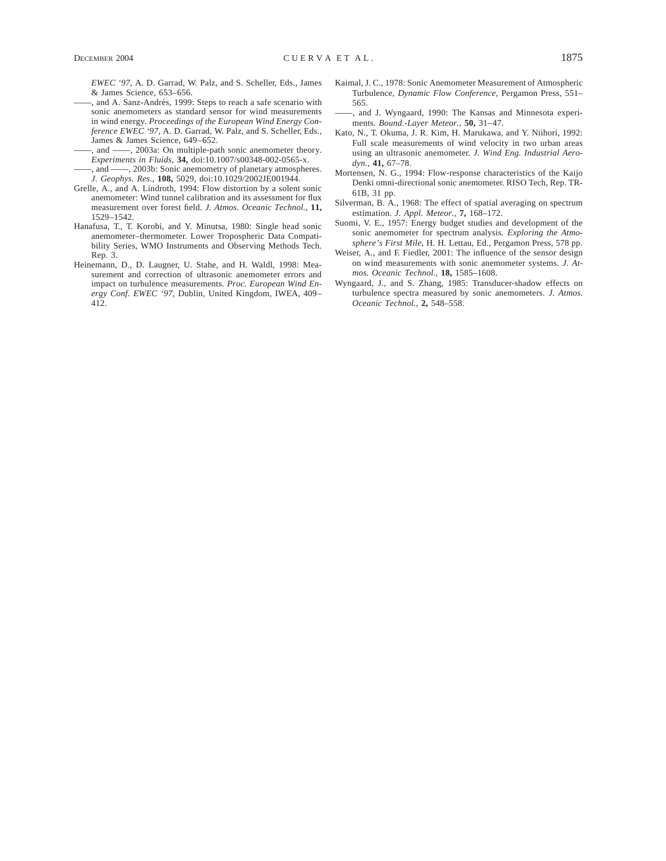*EWEC '97,* A. D. Garrad, W. Palz, and S. Scheller, Eds., James & James Science, 653–656.

-, and A. Sanz-Andrés, 1999: Steps to reach a safe scenario with sonic anemometers as standard sensor for wind measurements in wind energy. *Proceedings of the European Wind Energy Conference EWEC '97,* A. D. Garrad, W. Palz, and S. Scheller, Eds., James & James Science, 649–652.

and  $\frac{1}{2003a}$ : On multiple-path sonic anemometer theory. *Experiments in Fluids,* **34,** doi:10.1007/s00348-002-0565-x.

——, and ——, 2003b: Sonic anemometry of planetary atmospheres. *J. Geophys. Res.,* **108,** 5029, doi:10.1029/2002JE001944.

- Grelle, A., and A. Lindroth, 1994: Flow distortion by a solent sonic anemometer: Wind tunnel calibration and its assessment for flux measurement over forest field. *J. Atmos. Oceanic Technol.,* **11,** 1529–1542.
- Hanafusa, T., T. Korobi, and Y. Minutsa, 1980: Single head sonic anemometer–thermometer. Lower Tropospheric Data Compatibility Series, WMO Instruments and Observing Methods Tech. Rep. 3.
- Heinemann, D., D. Laugner, U. Stahe, and H. Waldl, 1998: Measurement and correction of ultrasonic anemometer errors and impact on turbulence measurements. *Proc. European Wind Energy Conf. EWEC '97,* Dublin, United Kingdom, IWEA, 409– 412.
- Kaimal, J. C., 1978: Sonic Anemometer Measurement of Atmospheric Turbulence, *Dynamic Flow Conference,* Pergamon Press, 551– 565.
- ——, and J. Wyngaard, 1990: The Kansas and Minnesota experiments. *Bound.-Layer Meteor.,* **50,** 31–47.
- Kato, N., T. Okuma, J. R. Kim, H. Marukawa, and Y. Niihori, 1992: Full scale measurements of wind velocity in two urban areas using an ultrasonic anemometer. *J. Wind Eng. Industrial Aerodyn.,* **41,** 67–78.
- Mortensen, N. G., 1994: Flow-response characteristics of the Kaijo Denki omni-directional sonic anemometer. RISO Tech, Rep. TR-61B, 31 pp.
- Silverman, B. A., 1968: The effect of spatial averaging on spectrum estimation. *J. Appl. Meteor.,* **7,** 168–172.
- Suomi, V. E., 1957: Energy budget studies and development of the sonic anemometer for spectrum analysis. *Exploring the Atmosphere's First Mile,* H. H. Lettau, Ed., Pergamon Press, 578 pp.
- Weiser, A., and F. Fiedler, 2001: The influence of the sensor design on wind measurements with sonic anemometer systems. *J. Atmos. Oceanic Technol.,* **18,** 1585–1608.
- Wyngaard, J., and S. Zhang, 1985: Transducer-shadow effects on turbulence spectra measured by sonic anemometers. *J. Atmos. Oceanic Technol.,* **2,** 548–558.